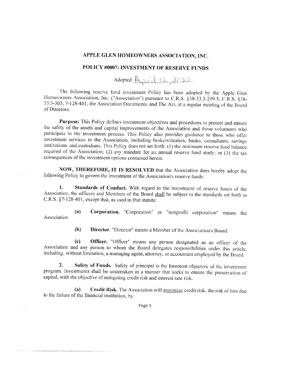## APPLE GLEN HOMEOWNERS ASSOCIATION, INC.

## POLICY #0007: INVESTMENT OF RESERVE FUNDS

Adopted Racil 12, 2022

The following reserve fund investment Policy has been adopted by the Apple Glen Homeowners Association, Inc. ("Association") pursuant to C.R.S. §38-33.3-209.5, C.R.S. §38-33.3-303, 7-128-401, the Association Documents, and The Act, at a regular meeting of the Board of Directors.

Purpose: This Policy defines investment objectives and procedures to protect and ensure the safety of the assets and capital improvements of the Association and those volunteers who participate in the investment process. This Policy also provides guidance to those who offer investment services to the Association, including brokers/dealers, banks, consultants, savings institutions, and custodians. This Policy does not set forth: (1) the minimum reserve fund balance required of the Association; (2) any mandate for an annual reserve fund study; or (3) the tax consequences of the investment options contained herein.

NOW, THEREFORE, IT IS RESOLVED that the Association does hereby adopt the following Policy to govern the investment of the Association's reserve funds:

1. Standards of Conduct. With regard to the investment of reserve funds of the Association, the officers and Members of the Board shall be subject to the standards set forth in C.R.S. §7-128-401, except that, as used in that statute:

Corporation. "Corporation" or "nonprofit corporation" means the  $(a)$ Association.

> $(b)$ Director. "Director" means a Member of the Association's Board.

Officer. "Officer" means any person designated as an officer of the  $\left( \mathbf{c} \right)$ Association and any person to whom the Board delegates responsibilities under this article, including, without limitation, a managing agent, attorney, or accountant employed by the Board.

 $2.$ Safety of Funds. Safety of principal is the foremost objective of the investment program. Investments shall be undertaken in a manner that seeks to ensure the preservation of capital, with the objective of mitigating credit risk and interest rate risk.

Credit Risk. The Association will minimize credit risk, the risk of loss due  $(a)$ to the failure of the financial institution, by:

Page 1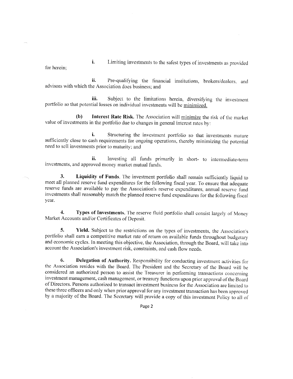i. Limiting investments to the safest types of investments as provided for herein;

ii. Pre-qualifying the financial institutions, brokers/dealers, and advisors with which the Association does business; and

iii. Subject to the limitations herein, diversifying the investment portfolio so that potential losses on individual investments will be minimized.

 $(b)$ Interest Rate Risk. The Association will minimize the risk of the market value of investments in the portfolio due to changes in general interest rates by:

i. Structuring the investment portfolio so that investments mature sufficiently close to cash requirements for ongoing operations, thereby minimizing the potential need to sell investments prior to maturity; and

Investing all funds primarily in short- to intermediate-term ii. investments, and approved money market mutual funds.

3. Liquidity of Funds. The investment portfolio shall remain sufficiently liquid to meet all planned reserve fund expenditures for the following fiscal year. To ensure that adequate reserve funds are available to pay the Association's reserve expenditures, annual reserve fund investments shall reasonably match the planned reserve fund expenditures for the following fiscal year.

Types of Investments. The reserve fluid portfolio shall consist largely of Money 4. Market Accounts and/or Certificates of Deposit.

5. Yield. Subject to the restrictions on the types of investments, the Association's portfolio shall earn a competitive market rate of return on available funds throughout budgetary and economic cycles. In meeting this objective, the Association, through the Board, will take into account the Association's investment risk, constraints, and cash flow needs.

6. Delegation of Authority. Responsibility for conducting investment activities for the Association resides with the Board. The President and the Secretary of the Board will be considered an authorized person to assist the Treasurer in performing transactions concerning investment management, cash management, or treasury functions upon prior approval of the Board of Directors. Persons authorized to transact investment business for the Association are limited to these three officers and only when prior approval for any investment transaction has been approved by a majority of the Board. The Secretary will provide a copy of this investment Policy to all of

Page 2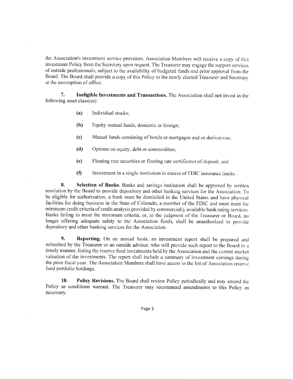the Association's investment service providers. Association Members will receive a copy of this investment Policy from the Secretary upon request. The Treasurer may engage the support services of outside professionals, subject to the availability of budgeted funds and prior approval from the Board. The Board shall provide a copy of this Policy to the newly elected Treasurer and Secretary at the assumption of office.

Ineligible Investments and Transactions. The Association shall not invest in the 7. following asset class(es):

- $(a)$ Individual stocks;
- (b) Equity mutual funds, domestic or foreign;
- $(c)$ Mutual funds consisting of bonds or mortgages and or derivatives:
- $(d)$ Options on equity, debt or commodities;
- Floating rate securities or floating rate certificates of deposit; and  $(e)$
- $(f)$ Investment in a single institution in excess of FDIC insurance limits.

8. Selection of Banks. Banks and savings institution shall be approved by written resolution by the Board to provide depository and other banking services for the Association. To be eligible for authorization, a bank must be domiciled in the United States and have physical facilities for doing business in the State of Colorado, a member of the FDIC and must meet the minimum credit criteria of credit analysis provided by commercially available bank rating services. Banks failing to meet the minimum criteria, or, in the judgment of the Treasurer or Board, no longer offering adequate safety to the Association funds, shall be unauthorized to provide depository and other banking services for the Association.

 $\mathbf{Q}$ Reporting. On an annual basis, an investment report shall be prepared and submitted by the Treasurer or an outside advisor, who will provide such report to the Board in a timely manner, listing the reserve fund investments held by the Association and the current market valuation of the investments. The report shall include a summary of investment earnings during the prior fiscal year. The Association Members shall have access to the list of Association reserve fund portfolio holdings.

10. **Policy Revisions.** The Board shall review Policy periodically and may amend the Policy as conditions warrant. The Treasurer may recommend amendments to this Policy as necessary.

Page 3